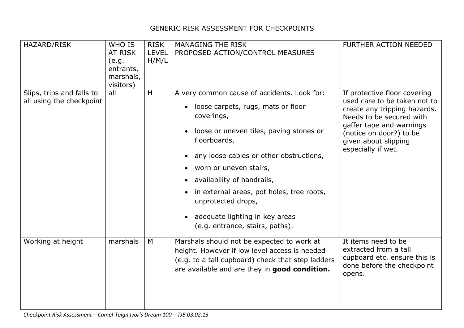## GENERIC RISK ASSESSMENT FOR CHECKPOINTS

| HAZARD/RISK                                           | WHO IS<br>AT RISK<br>(e.g.<br>entrants,<br>marshals,<br>visitors) | <b>RISK</b><br><b>LEVEL</b><br>H/M/L | <b>MANAGING THE RISK</b><br>PROPOSED ACTION/CONTROL MEASURES                                                                                                                                                                                                                                                                                                                                                                                                                                     | FURTHER ACTION NEEDED                                                                                                                                                                                                         |
|-------------------------------------------------------|-------------------------------------------------------------------|--------------------------------------|--------------------------------------------------------------------------------------------------------------------------------------------------------------------------------------------------------------------------------------------------------------------------------------------------------------------------------------------------------------------------------------------------------------------------------------------------------------------------------------------------|-------------------------------------------------------------------------------------------------------------------------------------------------------------------------------------------------------------------------------|
| Slips, trips and falls to<br>all using the checkpoint | all                                                               | H                                    | A very common cause of accidents. Look for:<br>loose carpets, rugs, mats or floor<br>$\bullet$<br>coverings,<br>loose or uneven tiles, paving stones or<br>$\bullet$<br>floorboards,<br>any loose cables or other obstructions,<br>$\bullet$<br>worn or uneven stairs,<br>$\bullet$<br>availability of handrails,<br>$\bullet$<br>in external areas, pot holes, tree roots,<br>$\bullet$<br>unprotected drops,<br>adequate lighting in key areas<br>$\bullet$<br>(e.g. entrance, stairs, paths). | If protective floor covering<br>used care to be taken not to<br>create any tripping hazards.<br>Needs to be secured with<br>gaffer tape and warnings<br>(notice on door?) to be<br>given about slipping<br>especially if wet. |
| Working at height                                     | marshals                                                          | M                                    | Marshals should not be expected to work at<br>height. However if low level access is needed<br>(e.g. to a tall cupboard) check that step ladders<br>are available and are they in good condition.                                                                                                                                                                                                                                                                                                | It items need to be<br>extracted from a tall<br>cupboard etc. ensure this is<br>done before the checkpoint<br>opens.                                                                                                          |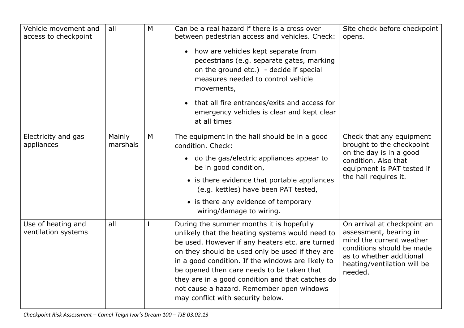| Vehicle movement and<br>access to checkpoint | all                | M | Can be a real hazard if there is a cross over<br>between pedestrian access and vehicles. Check:<br>how are vehicles kept separate from<br>$\bullet$<br>pedestrians (e.g. separate gates, marking<br>on the ground etc.) - decide if special<br>measures needed to control vehicle<br>movements,<br>that all fire entrances/exits and access for<br>$\bullet$<br>emergency vehicles is clear and kept clear<br>at all times                 | Site check before checkpoint<br>opens.                                                                                                                                               |
|----------------------------------------------|--------------------|---|--------------------------------------------------------------------------------------------------------------------------------------------------------------------------------------------------------------------------------------------------------------------------------------------------------------------------------------------------------------------------------------------------------------------------------------------|--------------------------------------------------------------------------------------------------------------------------------------------------------------------------------------|
| Electricity and gas<br>appliances            | Mainly<br>marshals | M | The equipment in the hall should be in a good<br>condition. Check:<br>• do the gas/electric appliances appear to<br>be in good condition,<br>• is there evidence that portable appliances<br>(e.g. kettles) have been PAT tested,<br>• is there any evidence of temporary<br>wiring/damage to wiring.                                                                                                                                      | Check that any equipment<br>brought to the checkpoint<br>on the day is in a good<br>condition. Also that<br>equipment is PAT tested if<br>the hall requires it.                      |
| Use of heating and<br>ventilation systems    | all                | L | During the summer months it is hopefully<br>unlikely that the heating systems would need to<br>be used. However if any heaters etc. are turned<br>on they should be used only be used if they are<br>in a good condition. If the windows are likely to<br>be opened then care needs to be taken that<br>they are in a good condition and that catches do<br>not cause a hazard. Remember open windows<br>may conflict with security below. | On arrival at checkpoint an<br>assessment, bearing in<br>mind the current weather<br>conditions should be made<br>as to whether additional<br>heating/ventilation will be<br>needed. |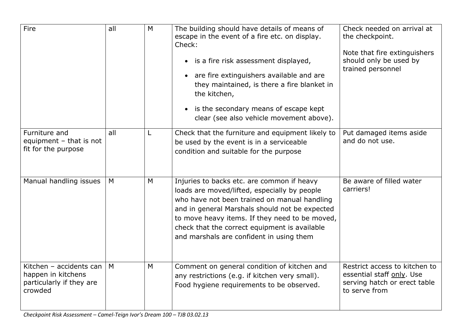| Fire                                                                                 | all | M | The building should have details of means of<br>escape in the event of a fire etc. on display.<br>Check:<br>• is a fire risk assessment displayed,<br>• are fire extinguishers available and are<br>they maintained, is there a fire blanket in<br>the kitchen,<br>• is the secondary means of escape kept<br>clear (see also vehicle movement above). | Check needed on arrival at<br>the checkpoint.<br>Note that fire extinguishers<br>should only be used by<br>trained personnel |
|--------------------------------------------------------------------------------------|-----|---|--------------------------------------------------------------------------------------------------------------------------------------------------------------------------------------------------------------------------------------------------------------------------------------------------------------------------------------------------------|------------------------------------------------------------------------------------------------------------------------------|
| Furniture and<br>equipment - that is not<br>fit for the purpose                      | all |   | Check that the furniture and equipment likely to<br>be used by the event is in a serviceable<br>condition and suitable for the purpose                                                                                                                                                                                                                 | Put damaged items aside<br>and do not use.                                                                                   |
| Manual handling issues                                                               | M   | M | Injuries to backs etc. are common if heavy<br>loads are moved/lifted, especially by people<br>who have not been trained on manual handling<br>and in general Marshals should not be expected<br>to move heavy items. If they need to be moved,<br>check that the correct equipment is available<br>and marshals are confident in using them            | Be aware of filled water<br>carriers!                                                                                        |
| Kitchen - accidents can<br>happen in kitchens<br>particularly if they are<br>crowded | M   | M | Comment on general condition of kitchen and<br>any restrictions (e.g. if kitchen very small).<br>Food hygiene requirements to be observed.                                                                                                                                                                                                             | Restrict access to kitchen to<br>essential staff only. Use<br>serving hatch or erect table<br>to serve from                  |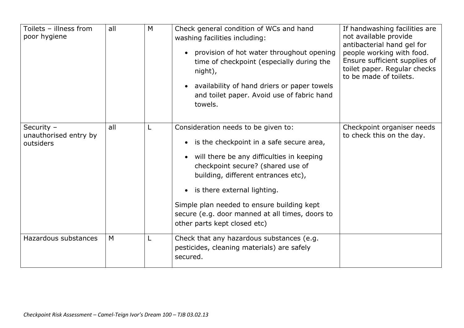| Toilets - illness from<br>poor hygiene           | all | M | Check general condition of WCs and hand<br>washing facilities including:<br>provision of hot water throughout opening<br>time of checkpoint (especially during the<br>night),<br>• availability of hand driers or paper towels<br>and toilet paper. Avoid use of fabric hand<br>towels.                                                                                                 | If handwashing facilities are<br>not available provide<br>antibacterial hand gel for<br>people working with food.<br>Ensure sufficient supplies of<br>toilet paper. Regular checks<br>to be made of toilets. |
|--------------------------------------------------|-----|---|-----------------------------------------------------------------------------------------------------------------------------------------------------------------------------------------------------------------------------------------------------------------------------------------------------------------------------------------------------------------------------------------|--------------------------------------------------------------------------------------------------------------------------------------------------------------------------------------------------------------|
| Security -<br>unauthorised entry by<br>outsiders | all |   | Consideration needs to be given to:<br>is the checkpoint in a safe secure area,<br>$\bullet$<br>will there be any difficulties in keeping<br>checkpoint secure? (shared use of<br>building, different entrances etc),<br>• is there external lighting.<br>Simple plan needed to ensure building kept<br>secure (e.g. door manned at all times, doors to<br>other parts kept closed etc) | Checkpoint organiser needs<br>to check this on the day.                                                                                                                                                      |
| Hazardous substances                             | M   |   | Check that any hazardous substances (e.g.<br>pesticides, cleaning materials) are safely<br>secured.                                                                                                                                                                                                                                                                                     |                                                                                                                                                                                                              |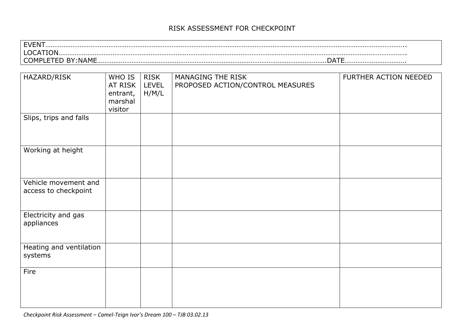## RISK ASSESSMENT FOR CHECKPOINT

EVENT……………………………………………………………………………………………………………………………………………………………………………….. LOCATION…………………………………………………………………………………………………………………………………………………………………………. COMPLETED BY:NAME……………………………………………………………………………………………………………….DATE…………………………….

| HAZARD/RISK                                  | WHO IS<br>AT RISK<br>entrant,<br>marshal | <b>RISK</b><br><b>LEVEL</b><br>H/M/L | MANAGING THE RISK<br>PROPOSED ACTION/CONTROL MEASURES | FURTHER ACTION NEEDED |
|----------------------------------------------|------------------------------------------|--------------------------------------|-------------------------------------------------------|-----------------------|
|                                              | visitor                                  |                                      |                                                       |                       |
| Slips, trips and falls                       |                                          |                                      |                                                       |                       |
| Working at height                            |                                          |                                      |                                                       |                       |
| Vehicle movement and<br>access to checkpoint |                                          |                                      |                                                       |                       |
| Electricity and gas<br>appliances            |                                          |                                      |                                                       |                       |
| Heating and ventilation<br>systems           |                                          |                                      |                                                       |                       |
| Fire                                         |                                          |                                      |                                                       |                       |